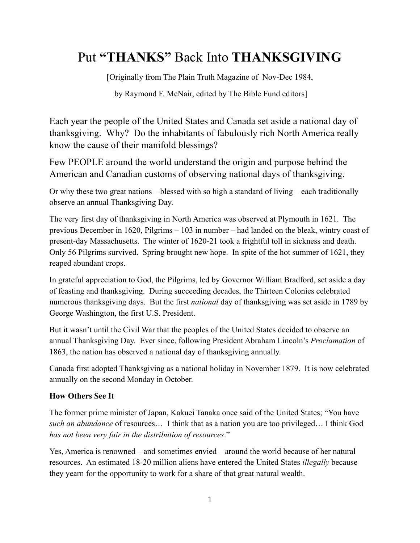## Put **"THANKS"** Back Into **THANKSGIVING**

[Originally from The Plain Truth Magazine of Nov-Dec 1984,

by Raymond F. McNair, edited by The Bible Fund editors]

Each year the people of the United States and Canada set aside a national day of thanksgiving. Why? Do the inhabitants of fabulously rich North America really know the cause of their manifold blessings?

Few PEOPLE around the world understand the origin and purpose behind the American and Canadian customs of observing national days of thanksgiving.

Or why these two great nations – blessed with so high a standard of living – each traditionally observe an annual Thanksgiving Day.

The very first day of thanksgiving in North America was observed at Plymouth in 1621. The previous December in 1620, Pilgrims – 103 in number – had landed on the bleak, wintry coast of present-day Massachusetts. The winter of 1620-21 took a frightful toll in sickness and death. Only 56 Pilgrims survived. Spring brought new hope. In spite of the hot summer of 1621, they reaped abundant crops.

In grateful appreciation to God, the Pilgrims, led by Governor William Bradford, set aside a day of feasting and thanksgiving. During succeeding decades, the Thirteen Colonies celebrated numerous thanksgiving days. But the first *national* day of thanksgiving was set aside in 1789 by George Washington, the first U.S. President.

But it wasn't until the Civil War that the peoples of the United States decided to observe an annual Thanksgiving Day. Ever since, following President Abraham Lincoln's *Proclamation* of 1863, the nation has observed a national day of thanksgiving annually.

Canada first adopted Thanksgiving as a national holiday in November 1879. It is now celebrated annually on the second Monday in October.

## **How Others See It**

The former prime minister of Japan, Kakuei Tanaka once said of the United States; "You have *such an abundance* of resources… I think that as a nation you are too privileged… I think God *has not been very fair in the distribution of resources*."

Yes, America is renowned – and sometimes envied – around the world because of her natural resources. An estimated 18-20 million aliens have entered the United States *illegally* because they yearn for the opportunity to work for a share of that great natural wealth.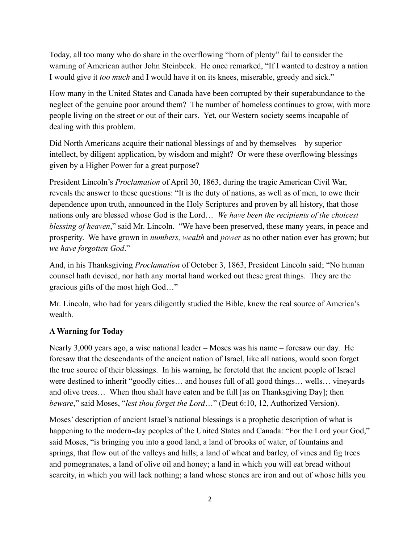Today, all too many who do share in the overflowing "horn of plenty" fail to consider the warning of American author John Steinbeck. He once remarked, "If I wanted to destroy a nation I would give it *too much* and I would have it on its knees, miserable, greedy and sick."

How many in the United States and Canada have been corrupted by their superabundance to the neglect of the genuine poor around them? The number of homeless continues to grow, with more people living on the street or out of their cars. Yet, our Western society seems incapable of dealing with this problem.

Did North Americans acquire their national blessings of and by themselves – by superior intellect, by diligent application, by wisdom and might? Or were these overflowing blessings given by a Higher Power for a great purpose?

President Lincoln's *Proclamation* of April 30, 1863, during the tragic American Civil War, reveals the answer to these questions: "It is the duty of nations, as well as of men, to owe their dependence upon truth, announced in the Holy Scriptures and proven by all history, that those nations only are blessed whose God is the Lord… *We have been the recipients of the choicest blessing of heaven*," said Mr. Lincoln. "We have been preserved, these many years, in peace and prosperity. We have grown in *numbers, wealth* and *power* as no other nation ever has grown; but *we have forgotten God*."

And, in his Thanksgiving *Proclamation* of October 3, 1863, President Lincoln said; "No human counsel hath devised, nor hath any mortal hand worked out these great things. They are the gracious gifts of the most high God…"

Mr. Lincoln, who had for years diligently studied the Bible, knew the real source of America's wealth.

## **A Warning for Today**

Nearly 3,000 years ago, a wise national leader – Moses was his name – foresaw our day. He foresaw that the descendants of the ancient nation of Israel, like all nations, would soon forget the true source of their blessings. In his warning, he foretold that the ancient people of Israel were destined to inherit "goodly cities… and houses full of all good things… wells… vineyards and olive trees… When thou shalt have eaten and be full [as on Thanksgiving Day]; then *beware*," said Moses, "*lest thou forget the Lord*…" (Deut 6:10, 12, Authorized Version).

Moses' description of ancient Israel's national blessings is a prophetic description of what is happening to the modern-day peoples of the United States and Canada: "For the Lord your God," said Moses, "is bringing you into a good land, a land of brooks of water, of fountains and springs, that flow out of the valleys and hills; a land of wheat and barley, of vines and fig trees and pomegranates, a land of olive oil and honey; a land in which you will eat bread without scarcity, in which you will lack nothing; a land whose stones are iron and out of whose hills you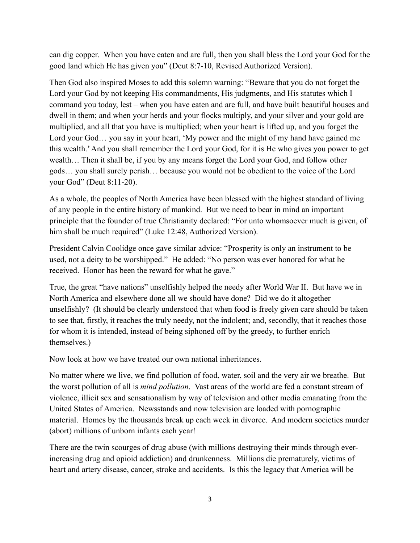can dig copper. When you have eaten and are full, then you shall bless the Lord your God for the good land which He has given you" (Deut 8:7-10, Revised Authorized Version).

Then God also inspired Moses to add this solemn warning: "Beware that you do not forget the Lord your God by not keeping His commandments, His judgments, and His statutes which I command you today, lest – when you have eaten and are full, and have built beautiful houses and dwell in them; and when your herds and your flocks multiply, and your silver and your gold are multiplied, and all that you have is multiplied; when your heart is lifted up, and you forget the Lord your God… you say in your heart, 'My power and the might of my hand have gained me this wealth.' And you shall remember the Lord your God, for it is He who gives you power to get wealth… Then it shall be, if you by any means forget the Lord your God, and follow other gods… you shall surely perish… because you would not be obedient to the voice of the Lord your God" (Deut 8:11-20).

As a whole, the peoples of North America have been blessed with the highest standard of living of any people in the entire history of mankind. But we need to bear in mind an important principle that the founder of true Christianity declared: "For unto whomsoever much is given, of him shall be much required" (Luke 12:48, Authorized Version).

President Calvin Coolidge once gave similar advice: "Prosperity is only an instrument to be used, not a deity to be worshipped." He added: "No person was ever honored for what he received. Honor has been the reward for what he gave."

True, the great "have nations" unselfishly helped the needy after World War II. But have we in North America and elsewhere done all we should have done? Did we do it altogether unselfishly? (It should be clearly understood that when food is freely given care should be taken to see that, firstly, it reaches the truly needy, not the indolent; and, secondly, that it reaches those for whom it is intended, instead of being siphoned off by the greedy, to further enrich themselves.)

Now look at how we have treated our own national inheritances.

No matter where we live, we find pollution of food, water, soil and the very air we breathe. But the worst pollution of all is *mind pollution*. Vast areas of the world are fed a constant stream of violence, illicit sex and sensationalism by way of television and other media emanating from the United States of America. Newsstands and now television are loaded with pornographic material. Homes by the thousands break up each week in divorce. And modern societies murder (abort) millions of unborn infants each year!

There are the twin scourges of drug abuse (with millions destroying their minds through everincreasing drug and opioid addiction) and drunkenness. Millions die prematurely, victims of heart and artery disease, cancer, stroke and accidents. Is this the legacy that America will be